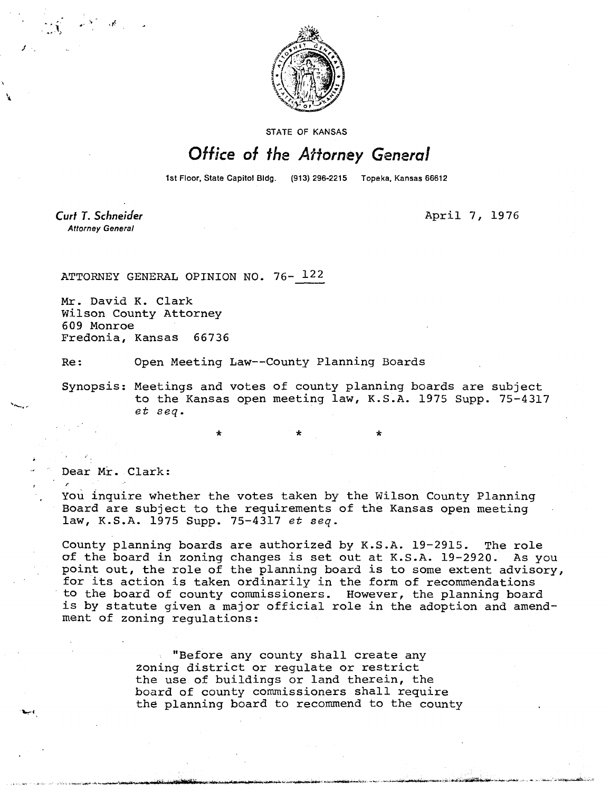

STATE OF KANSAS

## Office of the Attorney General

1st Floor, State Capitol Bldg. (913) 296-2215 Topeka, Kansas 66612

Curt T. Schneider **Attorney General** 

April 7, 1976

ATTORNEY GENERAL OPINION NO. 76- 122

Mr. David K. Clark Wilson County Attorney 609 Monroe Fredonia, Kansas 66736

Re: Open Meeting Law--County Planning Boards

Synopsis: Meetings and votes of county planning boards are subject to the Kansas open meeting law, K.S.A. 1975 Supp. 75-4317 et seq.

Dear Mr. Clark:

You inquire whether the votes taken by the Wilson County Planning Board are subject to the requirements of the Kansas open meeting law, K.S.A. 1975 Supp. 75-4317 et seq.

County planning boards are authorized by K.S.A. 19-2915. The role of the board in zoning changes is set out at K.S.A. 19-2920. As you point out, the role of the planning board is to some extent advisory, for its action is taken ordinarily in the form of recommendations to the board of county commissioners. However, the planning board is by statute given a major official role in the adoption and amendment of zoning regulations:

> "Before any county shall create any zoning district or regulate or restrict the use of buildings or land therein, the board of county commissioners shall require the planning board to recommend to the county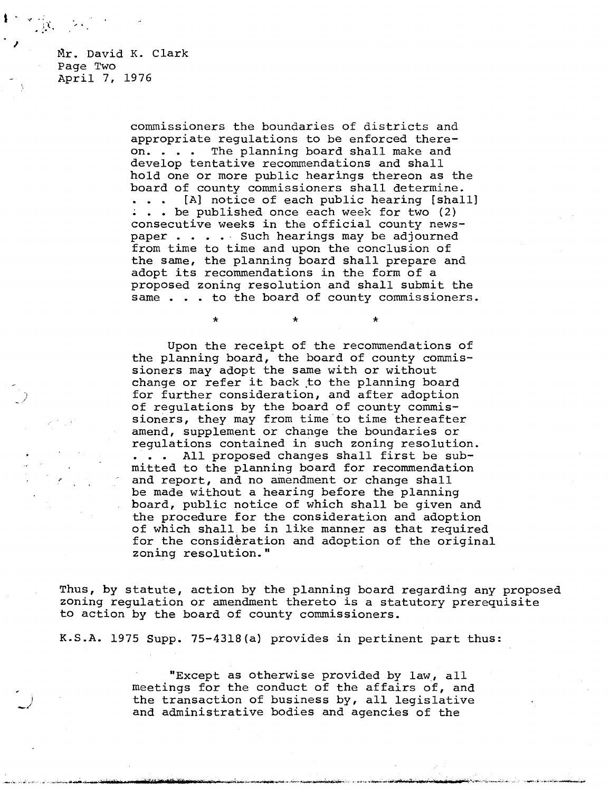Mr. David K. Clark Page Two April 7, 1976

> commissioners the boundaries of districts and appropriate regulations to be enforced thereon. . . . The planning board shall make and develop tentative recommendations and shall hold one or more public hearings thereon as the board of county commissioners shall determine. [A] notice of each public hearing [shall] . . be published once each week for two (2) consecutive weeks in the official county newspaper . . . . Such hearings may be adjourned from time to time and upon the conclusion of the same, the planning board shall prepare and adopt its recommendations in the form of a proposed zoning resolution and shall submit the same . . . to the board of county commissioners.

> > \* \*

Upon the receipt of the recommendations of the planning board, the board of county commissioners may adopt the same with or without change or refer it back to the planning board for further consideration, and after adoption of regulations by the board of county commissioners, they may from time to time thereafter amend, supplement or change the boundaries or regulations contained in such zoning resolution. . . . All proposed changes shall first be submitted to the planning board for recommendation and report, and no amendment or change shall be made without a hearing before the planning board, public notice of which shall be given and the procedure for the consideration and adoption of which shall be in like manner as that required for the consideration and adoption of the original zoning resolution."

Thus, by statute, action by the planning board regarding any proposed zoning regulation or amendment thereto is a statutory prerequisite to action by the board of county commissioners.

K.S.A. 1975 Supp. 75-4318(a) provides in pertinent part thus:

"Except as otherwise provided by law, all meetings for the conduct of the affairs of, and the transaction of business by, all legislative and administrative bodies and agencies of the